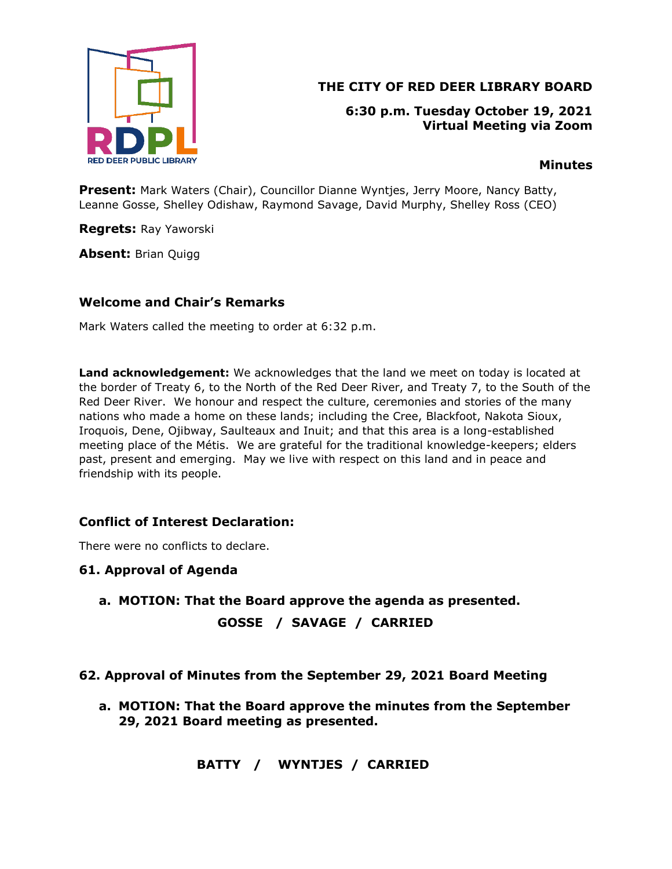

# **THE CITY OF RED DEER LIBRARY BOARD**

**6:30 p.m. Tuesday October 19, 2021 Virtual Meeting via Zoom**

### **Minutes**

**Present:** Mark Waters (Chair), Councillor Dianne Wyntjes, Jerry Moore, Nancy Batty, Leanne Gosse, Shelley Odishaw, Raymond Savage, David Murphy, Shelley Ross (CEO)

**Regrets:** Ray Yaworski

**Absent:** Brian Quigg

### **Welcome and Chair's Remarks**

Mark Waters called the meeting to order at 6:32 p.m.

**Land acknowledgement:** We acknowledges that the land we meet on today is located at the border of Treaty 6, to the North of the Red Deer River, and Treaty 7, to the South of the Red Deer River. We honour and respect the culture, ceremonies and stories of the many nations who made a home on these lands; including the Cree, Blackfoot, Nakota Sioux, Iroquois, Dene, Ojibway, Saulteaux and Inuit; and that this area is a long-established meeting place of the Métis. We are grateful for the traditional knowledge-keepers; elders past, present and emerging. May we live with respect on this land and in peace and friendship with its people.

## **Conflict of Interest Declaration:**

There were no conflicts to declare.

### **61. Approval of Agenda**

**a. MOTION: That the Board approve the agenda as presented. GOSSE / SAVAGE / CARRIED**

### **62. Approval of Minutes from the September 29, 2021 Board Meeting**

**a. MOTION: That the Board approve the minutes from the September 29, 2021 Board meeting as presented.**

 **BATTY / WYNTJES / CARRIED**